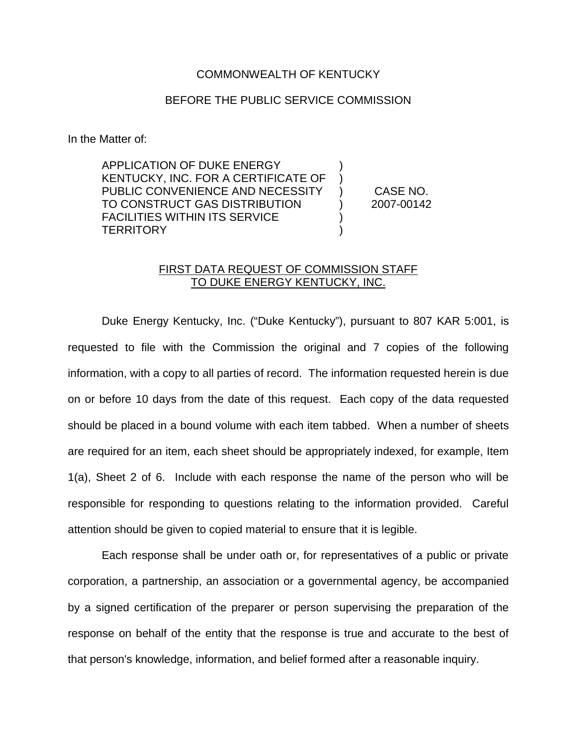## COMMONWEALTH OF KENTUCKY

## BEFORE THE PUBLIC SERVICE COMMISSION

In the Matter of:

APPLICATION OF DUKE ENERGY KENTUCKY, INC. FOR A CERTIFICATE OF ) PUBLIC CONVENIENCE AND NECESSITY ) CASE NO. TO CONSTRUCT GAS DISTRIBUTION ) 2007-00142 FACILITIES WITHIN ITS SERVICE **TERRITORY** 

## FIRST DATA REQUEST OF COMMISSION STAFF TO DUKE ENERGY KENTUCKY, INC.

Duke Energy Kentucky, Inc. ("Duke Kentucky"), pursuant to 807 KAR 5:001, is requested to file with the Commission the original and 7 copies of the following information, with a copy to all parties of record. The information requested herein is due on or before 10 days from the date of this request. Each copy of the data requested should be placed in a bound volume with each item tabbed. When a number of sheets are required for an item, each sheet should be appropriately indexed, for example, Item 1(a), Sheet 2 of 6. Include with each response the name of the person who will be responsible for responding to questions relating to the information provided. Careful attention should be given to copied material to ensure that it is legible.

Each response shall be under oath or, for representatives of a public or private corporation, a partnership, an association or a governmental agency, be accompanied by a signed certification of the preparer or person supervising the preparation of the response on behalf of the entity that the response is true and accurate to the best of that person's knowledge, information, and belief formed after a reasonable inquiry.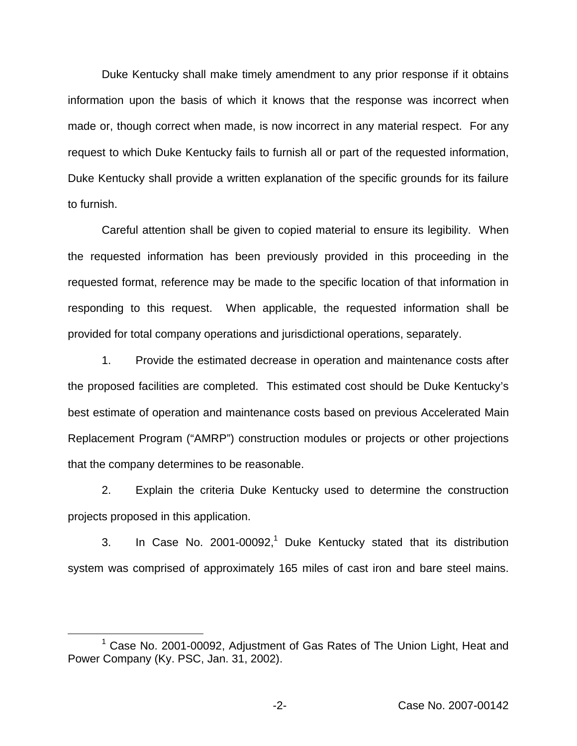Duke Kentucky shall make timely amendment to any prior response if it obtains information upon the basis of which it knows that the response was incorrect when made or, though correct when made, is now incorrect in any material respect. For any request to which Duke Kentucky fails to furnish all or part of the requested information, Duke Kentucky shall provide a written explanation of the specific grounds for its failure to furnish.

Careful attention shall be given to copied material to ensure its legibility. When the requested information has been previously provided in this proceeding in the requested format, reference may be made to the specific location of that information in responding to this request. When applicable, the requested information shall be provided for total company operations and jurisdictional operations, separately.

1. Provide the estimated decrease in operation and maintenance costs after the proposed facilities are completed. This estimated cost should be Duke Kentucky's best estimate of operation and maintenance costs based on previous Accelerated Main Replacement Program ("AMRP") construction modules or projects or other projections that the company determines to be reasonable.

2. Explain the criteria Duke Kentucky used to determine the construction projects proposed in this application.

3. In Case No.  $2001-00092$ ,<sup>1</sup> Duke Kentucky stated that its distribution system was comprised of approximately 165 miles of cast iron and bare steel mains.

<sup>&</sup>lt;sup>1</sup> Case No. 2001-00092, Adjustment of Gas Rates of The Union Light, Heat and Power Company (Ky. PSC, Jan. 31, 2002).